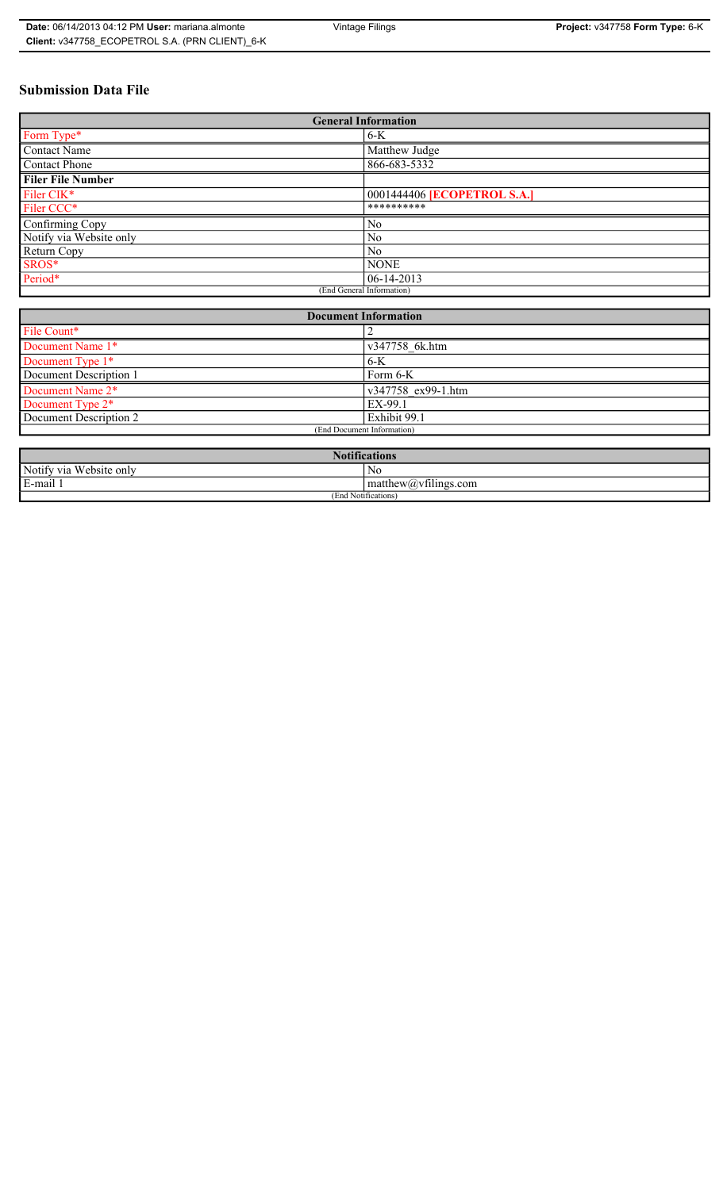# **Submission Data File**

| <b>General Information</b> |                             |  |
|----------------------------|-----------------------------|--|
| Form Type*                 | $6-K$                       |  |
| <b>Contact Name</b>        | Matthew Judge               |  |
| Contact Phone              | 866-683-5332                |  |
| <b>Filer File Number</b>   |                             |  |
| Filer CIK*                 | 0001444406 [ECOPETROL S.A.] |  |
| Filer CCC*                 | **********                  |  |
| Confirming Copy            | No                          |  |
| Notify via Website only    | N <sub>0</sub>              |  |
| Return Copy                | N <sub>0</sub>              |  |
| SROS*                      | <b>NONE</b>                 |  |
| Period*                    | $06 - 14 - 2013$            |  |
| (End General Information)  |                             |  |

| <b>Document Information</b>  |                    |  |
|------------------------------|--------------------|--|
| File Count*                  |                    |  |
| Document Name 1*             | v347758 6k.htm     |  |
| Document Type 1*             | $6-K$              |  |
| Document Description 1       | Form 6-K           |  |
| Document Name 2*             | v347758 ex99-1.htm |  |
| Document Type 2 <sup>*</sup> | EX-99.1            |  |
| Document Description 2       | Exhibit 99.1       |  |
| (End Document Information)   |                    |  |
|                              |                    |  |

| <b>Notifications</b>    |                                                   |
|-------------------------|---------------------------------------------------|
| Notify via Website only | N0                                                |
| E-mail 1                | $\sim$ 1.<br>$math>math>matrix(a)$ , villings.com |
| (End Notifications)     |                                                   |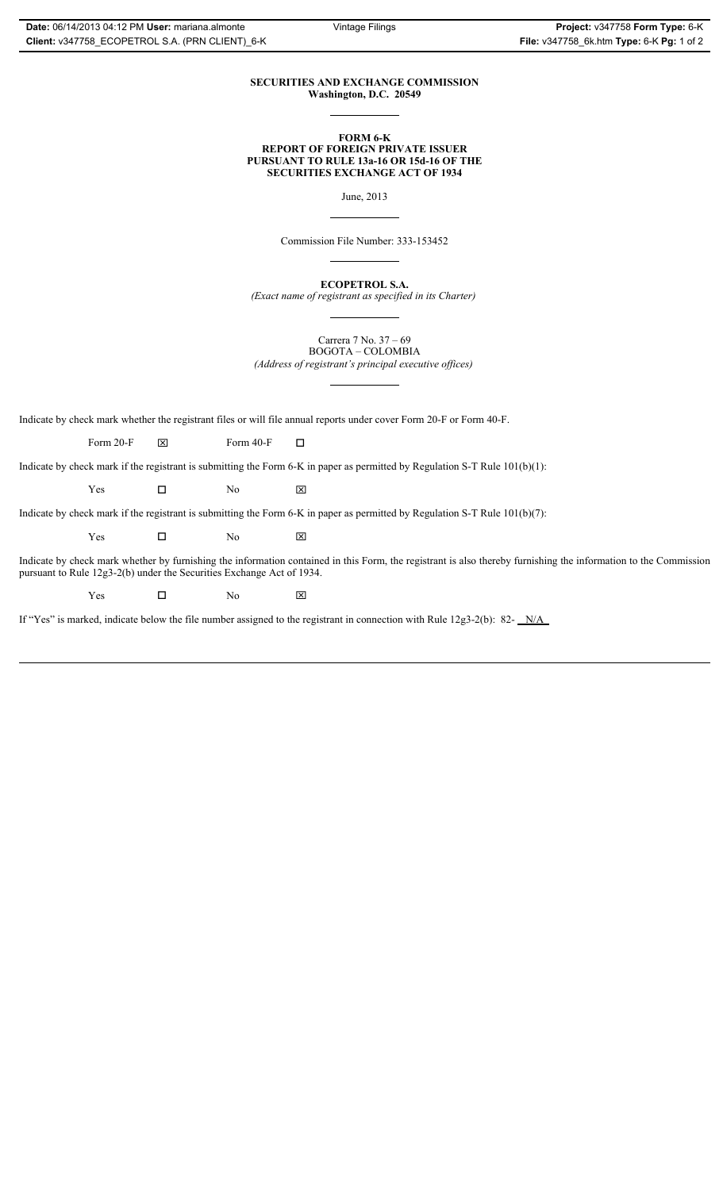#### **SECURITIES AND EXCHANGE COMMISSION Washington, D.C. 20549**

**FORM 6-K REPORT OF FOREIGN PRIVATE ISSUER PURSUANT TO RULE 13a-16 OR 15d-16 OF THE SECURITIES EXCHANGE ACT OF 1934**

June, 2013

Commission File Number: 333-153452

**ECOPETROL S.A.** *(Exact name of registrant as specified in its Charter)*

Carrera 7 No. 37 – 69 BOGOTA – COLOMBIA *(Address of registrant's principal executive offices)*

Indicate by check mark whether the registrant files or will file annual reports under cover Form 20-F or Form 40-F.

Form 20-F  $\boxtimes$  Form 40-F  $\Box$ 

Indicate by check mark if the registrant is submitting the Form 6-K in paper as permitted by Regulation S-T Rule 101(b)(1):

| Yes | _ | No | 冈 |
|-----|---|----|---|
|     |   |    |   |

Indicate by check mark if the registrant is submitting the Form 6-K in paper as permitted by Regulation S-T Rule 101(b)(7):

 $Yes$   $\Box$  No  $X$ 

Indicate by check mark whether by furnishing the information contained in this Form, the registrant is also thereby furnishing the information to the Commission pursuant to Rule 12g3-2(b) under the Securities Exchange Act of 1934.

 $Yes$   $\Box$  No  $X$ 

If "Yes" is marked, indicate below the file number assigned to the registrant in connection with Rule 12g3-2(b): 82- $N/A$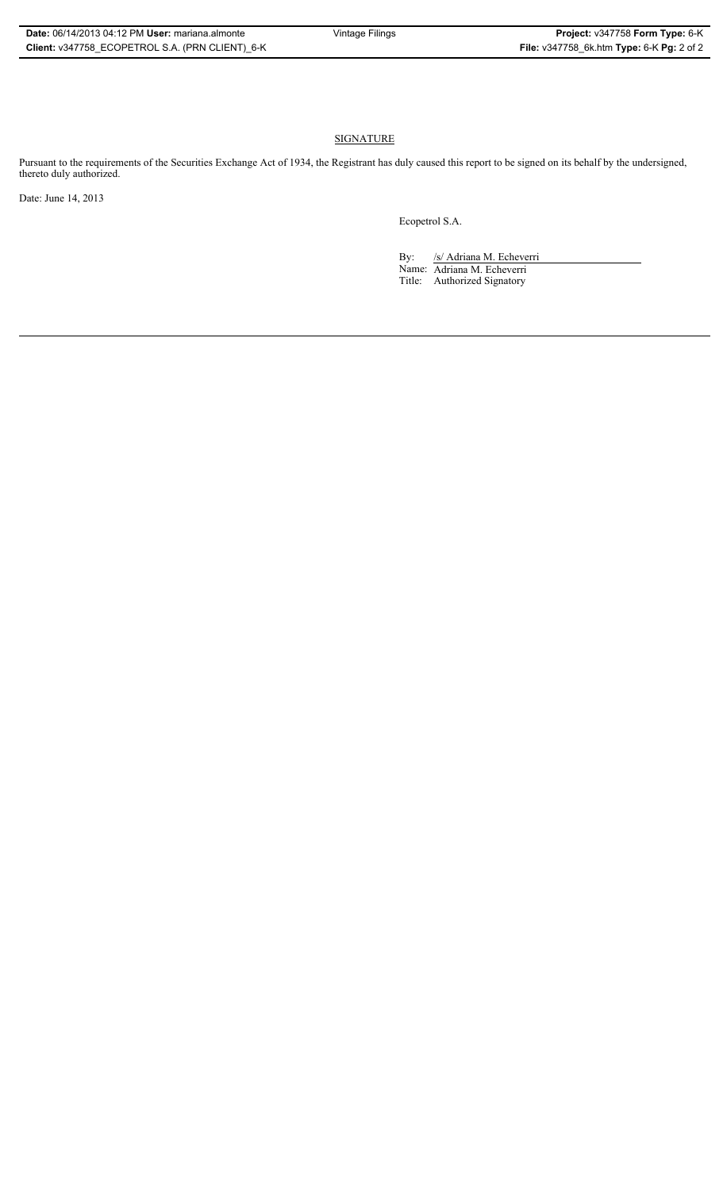## **SIGNATURE**

Pursuant to the requirements of the Securities Exchange Act of 1934, the Registrant has duly caused this report to be signed on its behalf by the undersigned, thereto duly authorized.

Date: June 14, 2013

Ecopetrol S.A.

By: /s/ Adriana M. Echeverri Name: Adriana M. Echeverri Title: Authorized Signatory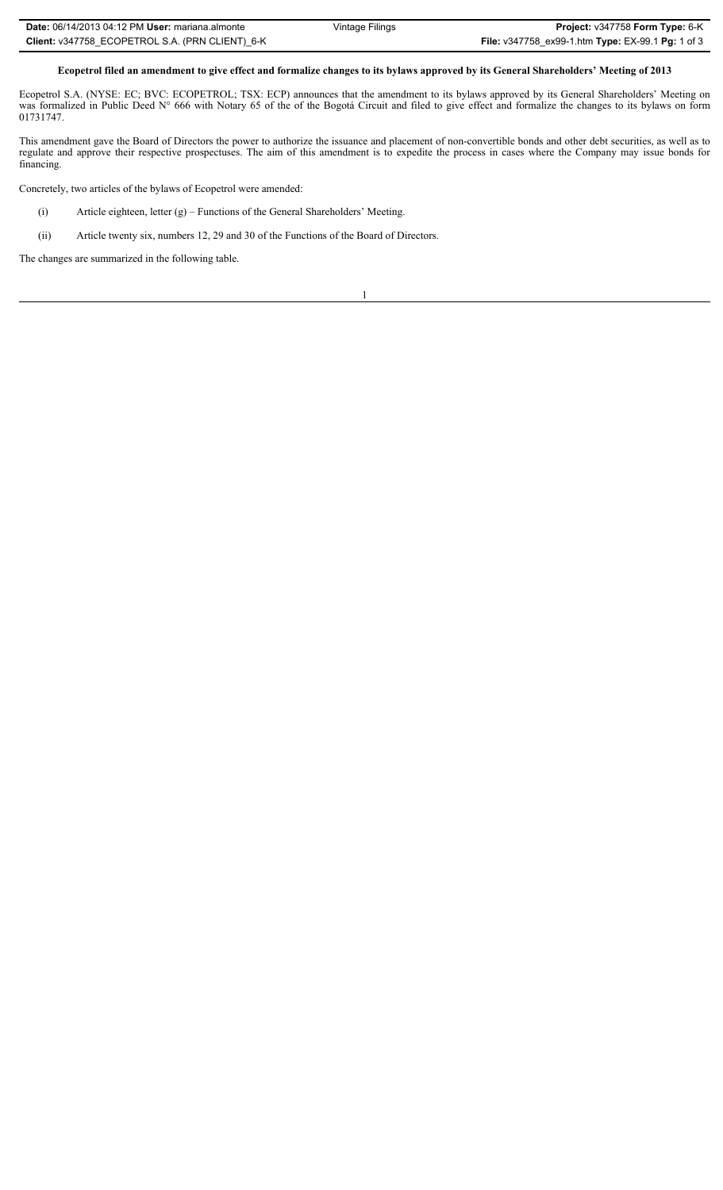| <b>Date: 06/14/2013 04:12 PM User: mariana.almonte</b> |  |
|--------------------------------------------------------|--|
| Client: v347758 ECOPETROL S.A. (PRN CLIENT) 6-K        |  |

## **Ecopetrol filed an amendment to give effect and formalize changes to its bylaws approved by its General Shareholders' Meeting of 2013**

Ecopetrol S.A. (NYSE: EC; BVC: ECOPETROL; TSX: ECP) announces that the amendment to its bylaws approved by its General Shareholders' Meeting on was formalized in Public Deed N° 666 with Notary 65 of the of the Bogotá Circuit and filed to give effect and formalize the changes to its bylaws on form 01731747.

This amendment gave the Board of Directors the power to authorize the issuance and placement of non-convertible bonds and other debt securities, as well as to regulate and approve their respective prospectuses. The aim of this amendment is to expedite the process in cases where the Company may issue bonds for financing.

Concretely, two articles of the bylaws of Ecopetrol were amended:

- (i) Article eighteen, letter (g) Functions of the General Shareholders' Meeting.
- (ii) Article twenty six, numbers 12, 29 and 30 of the Functions of the Board of Directors.

The changes are summarized in the following table.

1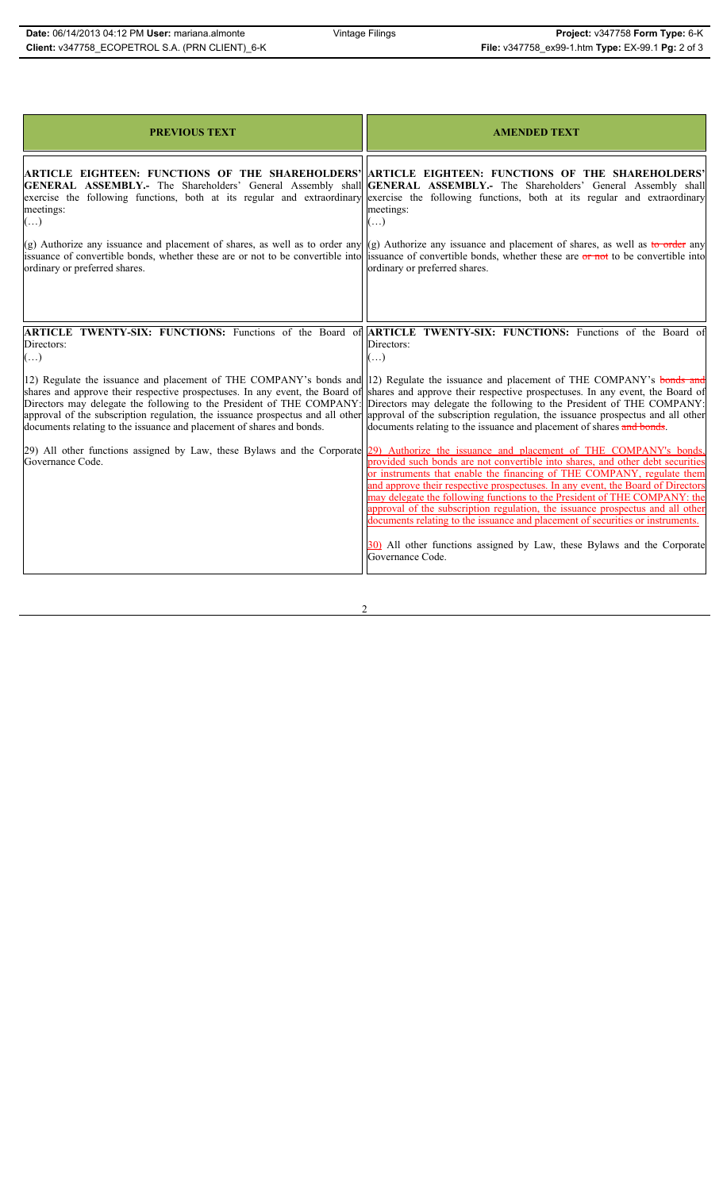| <b>PREVIOUS TEXT</b>                                                  | <b>AMENDED TEXT</b>                                                                                                                                                                                                                                                                                                                                                                                                                                                                                                                                                                                                                                                                                                                       |
|-----------------------------------------------------------------------|-------------------------------------------------------------------------------------------------------------------------------------------------------------------------------------------------------------------------------------------------------------------------------------------------------------------------------------------------------------------------------------------------------------------------------------------------------------------------------------------------------------------------------------------------------------------------------------------------------------------------------------------------------------------------------------------------------------------------------------------|
| meetings:<br>$(\ldots)$                                               | ARTICLE EIGHTEEN: FUNCTIONS OF THE SHAREHOLDERS'  ARTICLE EIGHTEEN: FUNCTIONS OF THE SHAREHOLDERS'<br>GENERAL ASSEMBLY.- The Shareholders' General Assembly shall GENERAL ASSEMBLY.- The Shareholders' General Assembly shall<br>exercise the following functions, both at its regular and extraordinary exercise the following functions, both at its regular and extraordinary<br>meetings:<br>$(\ldots)$                                                                                                                                                                                                                                                                                                                               |
| ordinary or preferred shares.                                         | (g) Authorize any issuance and placement of shares, as well as to order any (g) Authorize any issuance and placement of shares, as well as to order any<br>issuance of convertible bonds, whether these are or not to be convertible into issuance of convertible bonds, whether these are or not to be convertible into<br>ordinary or preferred shares.                                                                                                                                                                                                                                                                                                                                                                                 |
| Directors:<br>$(\ldots)$                                              | ARTICLE TWENTY-SIX: FUNCTIONS: Functions of the Board of ARTICLE TWENTY-SIX: FUNCTIONS: Functions of the Board of<br>Directors:<br>$(\ldots)$                                                                                                                                                                                                                                                                                                                                                                                                                                                                                                                                                                                             |
| documents relating to the issuance and placement of shares and bonds. | 12) Regulate the issuance and placement of THE COMPANY's bonds and 12) Regulate the issuance and placement of THE COMPANY's bonds and<br>shares and approve their respective prospectuses. In any event, the Board of shares and approve their respective prospectuses. In any event, the Board of<br>Directors may delegate the following to the President of THE COMPANY: Directors may delegate the following to the President of THE COMPANY:<br>approval of the subscription regulation, the issuance prospectus and all other approval of the subscription regulation, the issuance prospectus and all other<br>documents relating to the issuance and placement of shares and bonds.                                               |
| Governance Code.                                                      | [29] All other functions assigned by Law, these Bylaws and the Corporate [29] Authorize the issuance and placement of THE COMPANY's bonds,<br>provided such bonds are not convertible into shares, and other debt securities<br>or instruments that enable the financing of THE COMPANY, regulate them<br>and approve their respective prospectuses. In any event, the Board of Directors<br>may delegate the following functions to the President of THE COMPANY: the<br>approval of the subscription regulation, the issuance prospectus and all other<br>documents relating to the issuance and placement of securities or instruments.<br>30) All other functions assigned by Law, these Bylaws and the Corporate<br>Governance Code. |
|                                                                       |                                                                                                                                                                                                                                                                                                                                                                                                                                                                                                                                                                                                                                                                                                                                           |

2